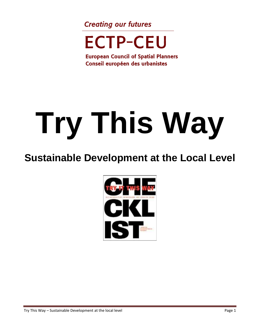**Creating our futures** 

## **ECTP-CEU**

**European Council of Spatial Planners** Conseil européen des urbanistes

# **Try This Way**

### **Sustainable Development at the Local Level**



Try This Way – Sustainable Development at the local level **Page 1** and Page 1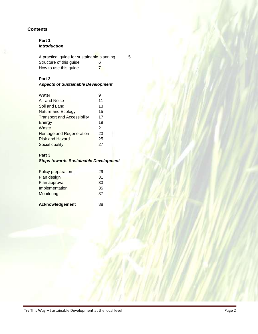#### **Contents**

#### **Part 1**  *Introduction*

| A practical guide for sustainable planning |   |  |  |
|--------------------------------------------|---|--|--|
| Structure of this guide                    | 6 |  |  |
| How to use this guide                      |   |  |  |

#### **Part 2**

#### *Aspects of Sustainable Development*

| Water                              | 9  |
|------------------------------------|----|
| Air and Noise                      | 11 |
| Soil and Land                      | 13 |
| Nature and Ecology                 | 15 |
| <b>Transport and Accessibility</b> | 17 |
| Energy                             | 19 |
| Waste                              | 21 |
| Heritage and Regeneration          | 23 |
| Risk and Hazard                    | 25 |
| Social quality                     | 27 |

#### **Part 3**

#### *Steps towards Sustainable Development*

| Policy preparation | 29 |
|--------------------|----|
| Plan design        | 31 |
| Plan approval      | 33 |
| Implementation     | 35 |
| Monitoring         | 37 |
|                    |    |
| Acknowledgement    | 38 |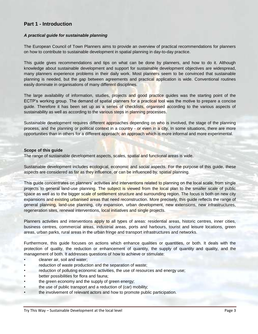#### **Part 1 - Introduction**

#### *A practical guide for sustainable planning*

The European Council of Town Planners aims to provide an overview of practical recommendations for planners on how to contribute to sustainable development in spatial planning in day-to-day practice.

This guide gives recommendations and tips on what can be done by planners, and how to do it. Although knowledge about sustainable development and support for sustainable development objectives are widespread, many planners experience problems in their daily work. Most planners seem to be convinced that sustainable planning is needed, but the gap between agreements and practical application is wide. Conventional routines easily dominate in organisations of many different disciplines.

The large availability of information, studies, projects and good practice guides was the starting point of the ECTP's working group. The demand of spatial planners for a practical tool was the motive to prepare a concise guide. Therefore it has been set up as a series of checklists, organised according to the various aspects of sustainability as well as according to the various steps in planning processes.

Sustainable development requires different approaches depending on who is involved, the stage of the planning process, and the planning or political context in a country - or even in a city. In some situations, there are more opportunities than in others for a different approach; an approach which is more informal and more experimental.

#### **Scope of this guide**

The range of sustainable development aspects, scales, spatial and functional areas is wide.

Sustainable development includes ecological, economic and social aspects. For the purpose of this guide, these aspects are considered as far as they influence, or can be influenced by, spatial planning.

This guide concentrates on planners' activities and interventions related to planning on the local scale, from single projects to general land-use planning. The subject is viewed from the local plan to the smaller scale of public space as well as to the bigger scale of settlement structure and surrounding region. The focus is both on new city expansions and existing urbanised areas that need reconstruction. More precisely, this guide reflects the range of general planning, land-use planning, city expansion, urban development, new extensions, new infrastructures, regeneration sites, renewal interventions, local initiatives and single projects.

Planners activities and interventions apply to all types of areas: residential areas, historic centres, inner cities, business centres, commercial areas, industrial areas, ports and harbours, tourist and leisure locations, green areas, urban parks, rural areas in the urban fringe and transport infrastructures and networks.

Furthermore, this guide focuses on actions which enhance qualities or quantities, or both. It deals with the protection of quality, the reduction or enhancement of quantity, the supply of quantity and quality, and the management of both. It addresses questions of how to achieve or stimulate:

- cleaner air, soil and water;
- reduction of waste production and the separation of waste;
- reduction of polluting economic activities, the use of resources and energy use;
- better possibilities for flora and fauna;
- the green economy and the supply of green energy;
- the use of public transport and a reduction of (car) mobility;
- the involvement of relevant actors and how to promote public participation.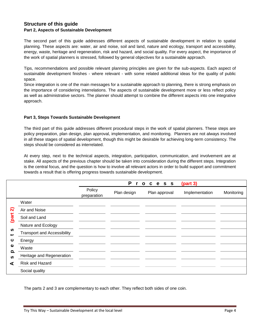#### **Structure of this guide Part 2, Aspects of Sustainable Development**

The second part of this guide addresses different aspects of sustainable development in relation to spatial planning. These aspects are: water, air and noise, soil and land, nature and ecology, transport and accessibility, energy, waste, heritage and regeneration, risk and hazard, and social quality. For every aspect, the importance of the work of spatial planners is stressed, followed by general objectives for a sustainable approach.

Tips, recommendations and possible relevant planning principles are given for the sub-aspects. Each aspect of sustainable development finishes - where relevant - with some related additional ideas for the quality of public space.

Since integration is one of the main messages for a sustainable approach to planning, there is strong emphasis on the importance of considering interrelations. The aspects of sustainable development more or less reflect policy as well as administrative sectors. The planner should attempt to combine the different aspects into one integrative approach.

#### **Part 3, Steps Towards Sustainable Development**

The third part of this guide addresses different procedural steps in the work of spatial planners. These steps are policy preparation, plan design, plan approval, implementation, and monitoring. Planners are not always involved in all these stages of spatial development, though this might be desirable for achieving long-term consistency. The steps should be considered as interrelated.

At every step, next to the technical aspects, integration, participation, communication, and involvement are at stake. All aspects of the previous chapter should be taken into consideration during the different steps. Integration is the central focus, and the question is how to involve all relevant actors in order to build support and commitment towards a result that is offering progress towards sustainable development.

|                  |                                    | P<br>$(part 3)$<br>c e s s<br>$\mathbf{o}$ |             |               |                |            |
|------------------|------------------------------------|--------------------------------------------|-------------|---------------|----------------|------------|
|                  |                                    | Policy<br>preparation                      | Plan design | Plan approval | Implementation | Monitoring |
| ล<br>(part<br>ທ  | Water                              |                                            |             |               |                |            |
|                  | Air and Noise                      |                                            |             |               |                |            |
|                  | Soil and Land                      |                                            |             |               |                |            |
|                  | Nature and Ecology                 |                                            |             |               |                |            |
|                  | <b>Transport and Accessibility</b> |                                            |             |               |                |            |
| ပ                | Energy                             |                                            |             |               |                |            |
| Φ<br>Ω<br>ທ<br>⋖ | Waste                              |                                            |             |               |                |            |
|                  | Heritage and Regeneration          |                                            |             |               |                |            |
|                  | Risk and Hazard                    |                                            |             |               |                |            |
|                  | Social quality                     |                                            |             |               |                |            |

The parts 2 and 3 are complementary to each other. They reflect both sides of one coin.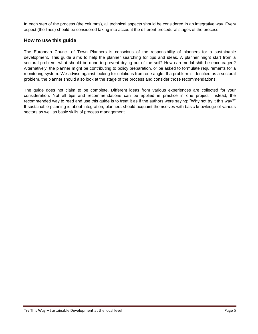In each step of the process (the columns), all technical aspects should be considered in an integrative way. Every aspect (the lines) should be considered taking into account the different procedural stages of the process.

#### **How to use this guide**

The European Council of Town Planners is conscious of the responsibility of planners for a sustainable development. This guide aims to help the planner searching for tips and ideas. A planner might start from a sectoral problem: what should be done to prevent drying out of the soil? How can modal shift be encouraged? Alternatively, the planner might be contributing to policy preparation, or be asked to formulate requirements for a monitoring system. We advise against looking for solutions from one angle. If a problem is identified as a sectoral problem, the planner should also look at the stage of the process and consider those recommendations.

The guide does not claim to be complete. Different ideas from various experiences are collected for your consideration. Not all tips and recommendations can be applied in practice in one project. Instead, the recommended way to read and use this guide is to treat it as if the authors were saying: "Why not try it this way?" If sustainable planning is about integration, planners should acquaint themselves with basic knowledge of various sectors as well as basic skills of process management.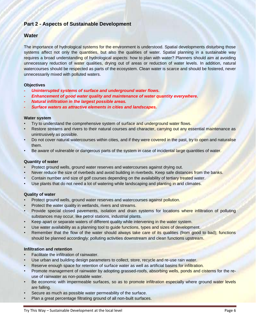#### **Part 2 - Aspects of Sustainable Development**

#### **Water**

The importance of hydrological systems for the environment is understood. Spatial developments disturbing those systems affect not only the quantities, but also the qualities of water. Spatial planning in a sustainable way requires a broad understanding of hydrological aspects: how to plan with water? Planners should aim at avoiding unnecessary reduction of water qualities, drying out of areas or reduction of water levels. In addition, natural watercourses should be respected as parts of the ecosystem. Clean water is scarce and should be fostered, never unnecessarily mixed with polluted waters.

#### **Objectives**

- *- Uninterrupted systems of surface and underground water flows.*
- *- Enhancement of good water quality and maintenance of water quantity everywhere.*
- *- Natural infiltration in the largest possible areas.*
- *- Surface waters as attractive elements in cities and landscapes.*

#### **Water system**

- Try to understand the comprehensive system of surface and underground water flows.
- Restore streams and rivers to their natural courses and character, carrying out any essential maintenance as unintrusively as possible.
- Do not cover natural watercourses within cities, and if they were covered in the past, try to open and naturalise them.
- Be aware of vulnerable or dangerous parts of the system in case of incidental large quantities of water.

#### **Quantity of water**

- Protect ground wells, ground water reserves and watercourses against drying out.
- Never reduce the size of riverbeds and avoid building in riverbeds. Keep safe distances from the banks.
- Contain number and size of golf courses depending on the availability of tertiary treated water.
- Use plants that do not need a lot of watering while landscaping and planting in arid climates.

#### **Quality of water**

- Protect ground wells, ground water reserves and watercourses against pollution.
- Protect the water quality in wetlands, rivers and streams.
- Provide special closed pavements, isolation and drain systems for locations where infiltration of polluting substances may occur, like petrol stations, industrial plants.
- Keep apart or separate waters of different quality while intervening in the water system.
- Use water availability as a planning tool to guide functions, types and sizes of development.
- Remember that the flow of the water should always take care of its qualities (from good to bad); functions should be planned accordingly: polluting activities downstream and clean functions upstream.

#### **Infiltration and retention**

- Facilitate the infiltration of rainwater.
- Use urban and building design parameters to collect, store, recycle and re-use rain water.
- Reserve enough space for retention of surface water as well as artificial basins for infiltration.
- Promote management of rainwater by adopting grassed-roofs, absorbing wells, ponds and cisterns for the reuse of rainwater as non-potable water.
- Be economic with impermeable surfaces, so as to promote infiltration especially where ground water levels are falling.
- Secure as much as possible water permeability of the surface.
- Plan a great percentage filtrating ground of all non-built surfaces.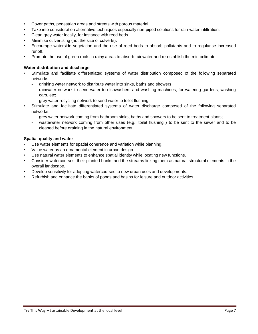- Cover paths, pedestrian areas and streets with porous material.
- Take into consideration alternative techniques especially non-piped solutions for rain-water infiltration.
- Clean grey water locally, for instance with reed beds.
- Minimise culvertising (not the size of culverts).
- Encourage waterside vegetation and the use of reed beds to absorb pollutants and to regularise increased runoff.
- Promote the use of green roofs in rainy areas to absorb rainwater and re-establish the microclimate.

#### **Water distribution and discharge**

- Stimulate and facilitate differentiated systems of water distribution composed of the following separated networks:
	- drinking water network to distribute water into sinks, baths and showers;
	- rainwater network to send water to dishwashers and washing machines, for watering gardens, washing cars, etc;
	- grey water recycling network to send water to toilet flushing.
- Stimulate and facilitate differentiated systems of water discharge composed of the following separated networks:
	- grey water network coming from bathroom sinks, baths and showers to be sent to treatment plants;
	- wastewater network coming from other uses (e.g.: toilet flushing) to be sent to the sewer and to be cleaned before draining in the natural environment.

#### **Spatial quality and water**

- Use water elements for spatial coherence and variation while planning.
- Value water as an ornamental element in urban design.
- Use natural water elements to enhance spatial identity while locating new functions.
- Consider watercourses, their planted banks and the streams linking them as natural structural elements in the overall landscape.
- Develop sensitivity for adopting watercourses to new urban uses and developments.
- Refurbish and enhance the banks of ponds and basins for leisure and outdoor activities.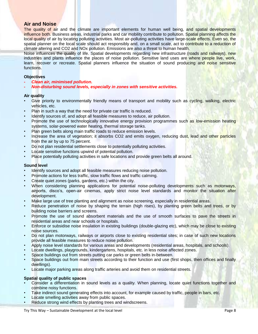#### **Air and Noise**

The quality of air and the climate are important elements for human well being, and spatial developments influence both. Business areas, industrial parks and car mobility contribute to pollution. Spatial planning affects the local quality of air by locating polluting activities. Most air-polluting activities have large-scale effects. Even so, the spatial planner on the local scale should act responsibly and, on a small scale, act to contribute to a reduction of climate altering and CO2 and NOx pollution. Emissions are also a threat to human health.

Noise influences the quality of life. Spatial developments regarding new infrastructure (roads and railways), new industries and plants influence the places of noise pollution. Sensitive land uses are where people live, work, learn, recover or recreate. Spatial planners influence the situation of sound producing and noise sensitive functions.

#### **Objectives**

- *- Clean air, minimised pollution.*
- *- Non-disturbing sound levels, especially in zones with sensitive activities.*

#### **Air quality**

- Give priority to environmentally friendly means of transport and mobility such as cycling, walking, electric vehicles, etc.
- Plan in such a way that the need for private car traffic is reduced.
- Identify sources of, and adopt all feasible measures to reduce, air pollution.
- Promote the use of technologically innovative energy provision programmes such as low-emission heating systems, solar-powered water heating, thermal storage tanks.
- Plan green belts along main traffic roads to reduce emission levels.
- Increase the area of vegetation; it absorbs CO2 and emits oxygen, reducing dust, lead and other particles from the air by up to 75 percent.
- Do not plan residential settlements close to potentially polluting activities.
- Locate sensitive functions upwind of potential pollution.
- Place potentially polluting activities in safe locations and provide green belts all around.

#### **Sound level**

- Identify sources and adopt all feasible measures reducing noise pollution.
- Promote actions for less traffic, slow traffic flows and traffic calming.
- Create quiet zones (parks, gardens, etc.) within the city.
- When considering planning applications for potential noise-polluting developments such as motorways, airports, disco's, open-air cinemas, apply strict noise level standards and monitor the situation after development.
- Make large use of tree planting and alignment as noise screening, especially in residential areas.
- Reduce penetration of noise by shaping the terrain (high rises), by planting green belts and trees, or by building noise barriers and screens.
- Promote the use of sound absorbent materials and the use of smooth surfaces to pave the streets in residential areas and near schools or hospitals.
- Enforce or subsidise noise insulation in existing buildings (double-glazing etc), which may be close to existing noise sources.
- Do not plan motorways, railways or airports close to existing residential sites; in case of such new locations provide all feasible measures to reduce noise pollution.
- Apply noise level standards for various areas and developments (residential areas, hospitals, and schools).
- Locate dwellings, playgrounds, kindergartens, hospitals, etc. in less noise affected zones.
- Space buildings out from streets putting car parks or green belts in-between.
- Space buildings out from main streets according to their function and use (first shops, then offices and finally dwellings).
- Locate major parking areas along traffic arteries and avoid them on residential streets.

#### **Spatial quality of public spaces**

- Consider a differentiation in sound levels as a quality. When planning, locate quiet functions together and combine noisy functions.
- Take indirect sound generating effects into account, for example caused by traffic, people in bars, etc.
- Locate smelling activities away from public spaces.
- Reduce strong wind effects by planting trees and windscreens.

Try This Way – Sustainable Development at the local level **Page 8** and Page 8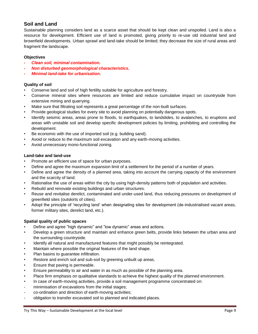#### **Soil and Land**

Sustainable planning considers land as a scarce asset that should be kept clean and unspoiled. Land is also a resource for development. Efficient use of land is promoted, giving priority to re-use old industrial land and brownfield developments. Urban sprawl and land-take should be limited; they decrease the size of rural areas and fragment the landscape.

#### **Objectives**

- *- Clean soil, minimal contamination.*
- *- Non disturbed geomorphological characteristics.*
- *- Minimal land-take for urbanisation.*

#### **Quality of soil**

- Conserve land and soil of high fertility suitable for agriculture and forestry.
- Conserve mineral sites where resources are limited and reduce cumulative impact on countryside from extensive mining and quarrying.
- Make sure that filtrating soil represents a great percentage of the non-built surfaces.
- Provide geological studies for every site to avoid planning on potentially dangerous spots.
- Identify seismic areas, areas prone to floods, to earthquakes, to landslides, to avalanches, to eruptions and areas with unstable soil and develop specific development policies by limiting, prohibiting and controlling the development.
- Be economic with the use of imported soil (e.g. building sand).
- Avoid or reduce to the maximum soil excavation and any earth-moving activities.
- Avoid unnecessary mono-functional zoning.

#### **Land-take and land-use**

- Promote an efficient use of space for urban purposes.
- Define and agree the maximum expansion limit of a settlement for the period of a number of years.
- Define and agree the density of a planned area, taking into account the carrying capacity of the environment and the scarcity of land.
- Rationalise the use of areas within the city by using high-density patterns both of population and activities.
- Rebuild and renovate existing buildings and urban structures.
- Reuse and revitalise derelict, contaminated and under-used land, thus reducing pressures on development of greenfield sites (outskirts of cities).
- Adopt the principle of 'recycling land' when designating sites for development (de-industrialised vacant areas, former military sites, derelict land, etc.).

#### **Spatial quality of public spaces**

- Define and agree "high dynamic" and "low dynamic" areas and actions.
- Develop a green structure and maintain and enhance green belts, provide links between the urban area and the surrounding countryside.
- Identify all natural and manufactured features that might possibly be reintegrated.
- Maintain where possible the original features of the land shape.
- Plan basins to guarantee infiltration.
- Restore and enrich soil and sub-soil by greening unbuilt up areas.
- Ensure that paving is permeable.
- Ensure permeability to air and water in as much as possible of the planning area.
- Place firm emphasis on qualitative standards to achieve the highest quality of the planned environment.
- In case of earth-moving activities, provide a soil management programme concentrated on:
- minimisation of excavations from the initial stages;
- co-ordination and direction of earth-moving activities;
- obligation to transfer excavated soil to planned and indicated places.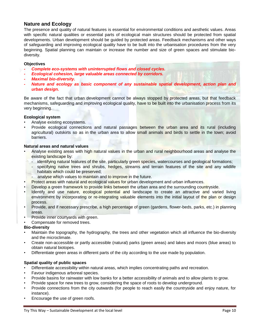#### **Nature and Ecology**

The presence and quality of natural features is essential for environmental conditions and aesthetic values. Areas with specific natural qualities or essential parts of ecological main structures should be protected from spatial developments. Urban development should be guided by protected areas. Feedback mechanisms and other ways of safeguarding and improving ecological quality have to be built into the urbanisation procedures from the very beginning. Spatial planning can maintain or increase the number and size of green spaces and stimulate biodiversity.

#### **Objectives**

- *- Complete eco-systems with uninterrupted flows and closed cycles.*
- *- Ecological cohesion, large valuable areas connected by corridors.*
- *- Maximal bio-diversity.*
- *- Nature and ecology as basic component of any sustainable spatial development, action plan and urban design.*

Be aware of the fact that urban development cannot be always stopped by protected areas, but that feedback mechanisms, safeguarding and improving ecological quality, have to be built into the urbanisation process from its very beginning.

#### **Ecological system**

- Analyse existing ecosystems.
- Provide ecological connections and natural passages between the urban area and its rural (including agricultural) outskirts so as in the urban area to allow small animals and birds to settle in the town; avoid barriers.

#### **Natural areas and natural values**

- Analyse existing areas with high natural values in the urban and rural neighbourhood areas and analyse the existing landscape by:
	- identifying natural features of the site, particularly green species, watercourses and geological formations;
	- specifying native trees and shrubs, hedges, streams and terrain features of the site and any wildlife habitats which could be preserved;
	- analyse which values to maintain and to improve in the future.
- Protect areas with natural and ecological values for urban development and urban influences.
- Develop a green framework to provide links between the urban area and the surrounding countryside.
- Identify and use nature, ecological potential and landscape to create an attractive and varied living environment by incorporating or re-integrating valuable elements into the initial layout of the plan or design process.
- Provide, and if necessary prescribe, a high percentage of green (gardens, flower-beds, parks, etc.) in planning areas.
- Provide inner courtyards with green.
- Compensate for removed trees.

#### **Bio-diversity**

- Maintain the topography, the hydrography, the trees and other vegetation which all influence the bio-diversity and the microclimate.
- Create non-accessible or partly accessible (natural) parks (green areas) and lakes and moors (blue areas) to obtain natural biotopes.
- Differentiate green areas in different parts of the city according to the use made by population.

#### **Spatial quality of public spaces**

- Differentiate accessibility within natural areas, which implies concentrating paths and recreation.
- Favour indigenous arboreal species.
- Provide basins for rainwater with low banks for a better accessibility of animals and to allow plants to grow.
- Provide space for new trees to grow, considering the space of roots to develop underground.
- Provide connections from the city outwards (for people to reach easily the countryside and enjoy nature, for instance).
- Encourage the use of green roofs.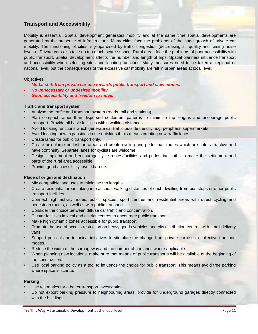#### **Transport and Accessibility**

Mobility is essential. Spatial development generates mobility and at the same time spatial developments are generated by the presence of infrastructure. Many cities face the problems of the huge growth of private car mobility. The functioning of cities is jeopardised by traffic congestion (decreasing air quality and raising noise levels). Private cars also take up too much scarce space. Rural areas face the problems of poor accessibility with public transport. Spatial development affects the number and length of trips. Spatial planners influence transport and accessibility when selecting sites and locating functions. Many measures need to be taken at regional or national level, but the consequences of the excessive car mobility are felt in urban areas at local level.

#### **Objectives**

- *- Modal shift from private car use towards public transport and slow modes.*
- *- No unnecessary or undesired mobility.*
- *- Good accessibility and freedom to move.*

#### **Traffic and transport system**

- Analyse the traffic and transport system (roads, rail and stations).
- Plan compact rather than dispersed settlement patterns to minimise trip lengths and encourage public transport. Provide all basic facilities within walking distances.
- Avoid locating functions which generate car traffic outside the city e.g. peripheral supermarkets.
- Avoid locating new expansions in the outskirts if this means creating new traffic lanes.
- Create lanes for public transport only.
- Create or enlarge pedestrian areas and create cycling and pedestrian routes which are safe, attractive and have continuity. Separate lanes for cyclists are welcome.
- Design, implement and encourage cycle routes/facilities and pedestrian paths to make the settlement and parts of the rural area accessible.
- Provide good accessibility; avoid barriers.

#### **Place of origin and destination**

- Mix compatible land uses to minimise trip lengths.
- Create residential areas taking into account walking distances of each dwelling from bus stops or other public transport facilities.
- Connect high activity nodes, public spaces, sport centres and residential areas with direct cycling and pedestrian routes, as well as with public transport.
- Consider the choice between diffuse car traffic and concentration.
- Cluster facilities in local and district centres to encourage public transport.
- Make high dynamic zones accessible for public transport.
- Promote the use of access restriction on heavy goods vehicles and city distribution centres with small delivery vans.
- Support political and technical initiatives to stimulate the change from private car use to collective transport modes.
- Reduce the width of the carriageway and the number of car lanes where applicable.
- When planning new locations, make sure that means of public transports will be available at the beginning of the construction.
- Use local parking policy as a tool to influence the choice for public transport. This means avoid free parking where space is scarce.

#### **Parking**

- Use telematics for a better transport investigation.
- Do not export parking pressure to neighbouring areas, provide for underground garages directly connected with the buildings.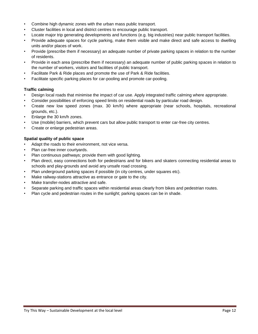- Combine high dynamic zones with the urban mass public transport.
- Cluster facilities in local and district centres to encourage public transport.
- Locate major trip generating developments and functions (e.g. big industries) near public transport facilities.
- Provide adequate spaces for cycle parking, make them visible and make direct and safe access to dwelling units and/or places of work.
- Provide (prescribe them if necessary) an adequate number of private parking spaces in relation to the number of residents.
- Provide in each area (prescribe them if necessary) an adequate number of public parking spaces in relation to the number of workers, visitors and facilities of public transport.
- Facilitate Park & Ride places and promote the use of Park & Ride facilities.
- Facilitate specific parking places for car-pooling and promote car-pooling.

#### **Traffic calming**

- Design local roads that minimise the impact of car use. Apply integrated traffic calming where appropriate.
- Consider possibilities of enforcing speed limits on residential roads by particular road design.
- Create new low speed zones (max. 30 km/h) where appropriate (near schools, hospitals, recreational grounds, etc.).
- Enlarge the 30 km/h zones.
- Use (mobile) barriers, which prevent cars but allow public transport to enter car-free city centres.
- Create or enlarge pedestrian areas.

#### **Spatial quality of public space**

- Adapt the roads to their environment, not vice versa.
- Plan car-free inner courtyards.
- Plan continuous pathways; provide them with good lighting.
- Plan direct, easy connections both for pedestrians and for bikers and skaters connecting residential areas to schools and play-grounds and avoid any unsafe road crossing.
- Plan underground parking spaces if possible (in city centres, under squares etc).
- Make railway-stations attractive as entrance or gate to the city.
- Make transfer-nodes attractive and safe.
- Separate parking and traffic spaces within residential areas clearly from bikes and pedestrian routes.
- Plan cycle and pedestrian routes in the sunlight; parking spaces can be in shade.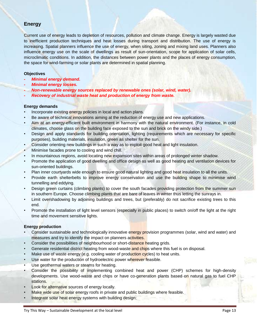#### **Energy**

Current use of energy leads to depletion of resources, pollution and climate change. Energy is largely wasted due to inefficient production techniques and heat losses during transport and distribution. The use of energy is increasing. Spatial planners influence the use of energy, when siting, zoning and mixing land uses. Planners also influence energy use on the scale of dwellings as result of sun-orientation, scope for application of solar cells, microclimatic conditions. In addition, the distances between power plants and the places of energy consumption, the space for wind-farming or solar plants are determined in spatial planning.

#### **Objectives**

- *- Minimal energy demand.*
- *- Minimal energy losses.*
- *- Non-renewable energy sources replaced by renewable ones (solar, wind, water).*
- *- Recovery of industrial waste heat and production of energy from waste.*

#### **Energy demands**

- Incorporate existing energy policies in local and action plans.
- Be aware of technical innovations aiming at the reduction of energy use and new applications.
- Aim at an energy-efficient built environment in harmony with the natural environment. (For instance, in cold climates, choose glass on the building face exposed to the sun and brick on the windy side.)
- Design and apply standards for building orientation, lighting (requirements which are necessary for specific purposes), building materials, insulation, green as shelter for the sun.
- Consider orienting new buildings in such a way as to exploit good heat and light insulation.
- Minimise facades prone to cooling and wind chill.
- In mountainous regions, avoid locating new expansion sites within areas of prolonged winter shadow.
- Promote the application of good dwelling and office design as well as good heating and ventilation devices for sun-oriented buildings.
- Plan inner courtyards wide enough to ensure good natural lighting and good heat insulation to all the units.
- Provide earth shelterbelts to improve energy conservation and use the building shape to minimise wind tunnelling and eddying.
- Design green curtains (climbing plants) to cover the south facades providing protection from the summer sun in southern Europe. Choose climbing plants that are bare of leaves in winter thus letting the sunrays in.
- Limit overshadowing by adjoining buildings and trees, but (preferably) do not sacrifice existing trees to this end.
- Promote the installation of light level sensors (especially in public places) to switch on/off the light at the right time and movement sensitive lights.

#### **Energy production**

- Consider sustainable and technologically innovative energy provision programmes (solar, wind and water) and measures and try to identify the impact on planners activities.
- Consider the possibilities of neighbourhood or short-distance heating grids.
- Generate residential district heating from wood-waste and chips where this fuel is on disposal.
- Make use of waste energy (e.g. cooling water of production cycles) to heat units.
- Use water for the production of hydroelectric power wherever feasible.
- Use geothermal waters or steams for heating.
- Consider the possibility of implementing combined heat and power (CHP) schemes for high-density developments. Use wood-waste and chips or have co-generation plants based on natural gas to fuel CHP stations.
- Look for alternative sources of energy locally.
- Make wide use of solar energy roofs in private and public buildings where feasible.
- Integrate solar heat energy systems with building design: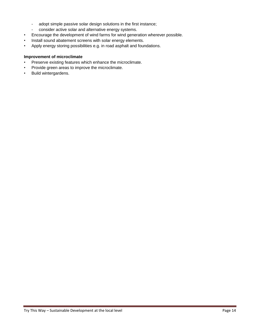- adopt simple passive solar design solutions in the first instance;
- consider active solar and alternative energy systems.
- Encourage the development of wind farms for wind generation wherever possible.
- Install sound abatement screens with solar energy elements.
- Apply energy storing possibilities e.g. in road asphalt and foundations.

#### **Improvement of microclimate**

- Preserve existing features which enhance the microclimate.
- Provide green areas to improve the microclimate.
- Build wintergardens.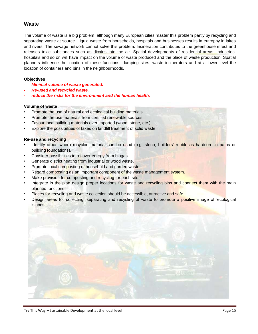#### **Waste**

The volume of waste is a big problem, although many European cities master this problem partly by recycling and separating waste at source. Liquid waste from households, hospitals and businesses results in eutrophy in lakes and rivers. The sewage network cannot solve this problem. Incineration contributes to the greenhouse effect and releases toxic substances such as dioxins into the air. Spatial developments of residential areas, industries, hospitals and so on will have impact on the volume of waste produced and the place of waste production. Spatial planners influence the location of these functions, dumping sites, waste incinerators and at a lower level the location of containers and bins in the neighbourhoods.

#### **Objectives**

- *- Minimal volume of waste generated.*
- *- Re-used and recycled waste.*
- *- reduce the risks for the environment and the human health.*

#### **Volume of waste**

- Promote the use of natural and ecological building materials .
- Promote the use materials from certified renewable sources.
- Favour local building materials over imported (wood, stone, etc.).
- Explore the possibilities of taxes on landfill treatment of solid waste.

#### **Re-use and recycling**

- Identify areas where recycled material can be used (e.g. stone, builders' rubble as hardcore in paths or building foundations).
- Consider possibilities to recover energy from biogas.
- Generate district heating from industrial or wood waste.
- Promote local composting of household and garden waste.
- Regard composting as an important component of the waste management system.
- Make provision for composting and recycling for each site.
- Integrate in the plan design proper locations for waste and recycling bins and connect them with the main planned functions.
- Places for recycling and waste collection should be accessible, attractive and safe.
- Design areas for collecting, separating and recycling of waste to promote a positive image of 'ecological islands'.

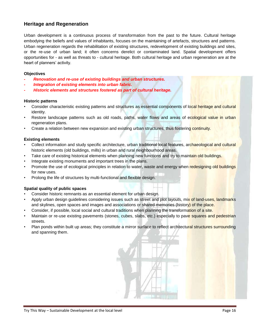#### **Heritage and Regeneration**

Urban development is a continuous process of transformation from the past to the future. Cultural heritage embodying the beliefs and values of inhabitants, focuses on the maintaining of artefacts, structures and patterns. Urban regeneration regards the rehabilitation of existing structures, redevelopment of existing buildings and sites, or the re-use of urban land; it often concerns derelict or contaminated land. Spatial development offers opportunities for - as well as threats to - cultural heritage. Both cultural heritage and urban regeneration are at the heart of planners' activity.

#### **Objectives**

- *- Renovation and re-use of existing buildings and urban structures.*
- *- Integration of existing elements into urban fabric.*
- *- Historic elements and structures fostered as part of cultural heritage.*

#### **Historic patterns**

- Consider characteristic existing patterns and structures as essential components of local heritage and cultural identity.
- Restore landscape patterns such as old roads, paths, water flows and areas of ecological value in urban regeneration plans.
- Create a relation between new expansion and existing urban structures, thus fostering continuity.

#### **Existing elements**

- Collect information and study specific architecture, urban traditional local features, archaeological and cultural historic elements (old buildings, mills) in urban and rural neighbourhood areas.
- Take care of existing historical elements when planning new functions and try to maintain old buildings.
- Integrate existing monuments and important trees in the plans.
- Promote the use of ecological principles in relation to water, waste and energy when redesigning old buildings for new uses.
- Prolong the life of structures by multi-functional and flexible design.

#### **Spatial quality of public spaces**

- Consider historic remnants as an essential element for urban design.
- Apply urban design guidelines considering issues such as street and plot layouts, mix of land-uses, landmarks and skylines, open spaces and images and associations or shared memories (history) of the place.
- Consider, if possible, local social and cultural traditions when planning the transformation of a site.
- Maintain or re-use existing pavements (stones, cubes, slabs, etc.) especially to pave squares and pedestrian streets.
- Plan ponds within built up areas; they constitute a mirror surface to reflect architectural structures surrounding and spanning them.

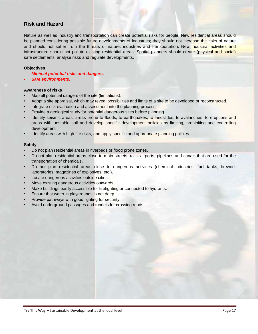#### **Risk and Hazard**

Nature as well as industry and transportation can create potential risks for people. New residential areas should be planned considering possible future developments of industries; they should not increase the risks of nature and should not suffer from the threats of nature, industries and transportation. New industrial activities and infrastructure should not pollute existing residential areas. Spatial planners should create (physical and social) safe settlements, analyse risks and regulate developments.

#### **Objectives**

- *- Minimal potential risks and dangers.*
- *- Safe environments.*

#### **Awareness of risks**

- Map all potential dangers of the site (limitations).
- Adopt a site appraisal, which may reveal possibilities and limits of a site to be developed or reconstructed.
- Integrate risk evaluation and assessment into the planning process.
- Provide a geological study for potential dangerous sites before planning.
- Identify seismic areas, areas prone to floods, to earthquakes, to landslides, to avalanches, to eruptions and areas with unstable soil and develop specific development policies by limiting, prohibiting and controlling development.
- Identify areas with high fire risks, and apply specific and appropriate planning policies.

#### **Safety**

- Do not plan residential areas in riverbeds or flood prone zones.
- Do not plan residential areas close to main streets, rails, airports, pipelines and canals that are used for the transportation of chemicals.
- Do not plan residential areas close to dangerous activities (chemical industries, fuel tanks, firework laboratories, magazines of explosives, etc.).
- Locate dangerous activities outside cities.
- Move existing dangerous activities outwards.
- Make buildings easily accessible for firefighting or connected to hydrants.
- Ensure that water in playgrounds is not deep.
- Provide pathways with good lighting for security.
- Avoid underground passages and tunnels for crossing roads.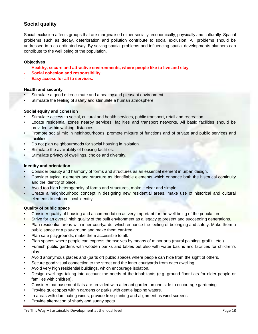#### **Social quality**

Social exclusion affects groups that are marginalised either socially, economically, physically and culturally. Spatial problems such as decay, deterioration and pollution contribute to social exclusion. All problems should be addressed in a co-ordinated way. By solving spatial problems and influencing spatial developments planners can contribute to the well being of the population.

#### **Objectives**

- **- Healthy, secure and attractive environments, where people like to live and stay.**
- **- Social cohesion and responsibility.**
- **- Easy access for all to services.**

#### **Health and security**

- Stimulate a good microclimate and a healthy and pleasant environment.
- Stimulate the feeling of safety and stimulate a human atmosphere.

#### **Social equity and cohesion**

- Stimulate access to social, cultural and health services, public transport, retail and recreation.
- Locate residential zones nearby services, facilities and transport networks. All basic facilities should be provided within walking distances.
- Promote social mix in neighbourhoods; promote mixture of functions and of private and public services and facilities.
- Do not plan neighbourhoods for social housing in isolation.
- Stimulate the availability of housing facilities.
- Stimulate privacy of dwellings, choice and diversity.

#### **Identity and orientation**

- Consider beauty and harmony of forms and structures as an essential element in urban design.
- Consider typical elements and structure as identifiable elements which enhance both the historical continuity and the identity of place.
- Avoid too high heterogeneity of forms and structures, make it clear and simple.
- Create a neighbourhood concept in designing new residential areas, make use of historical and cultural elements to enforce local identity.

#### **Quality of public space**

- Consider quality of housing and accommodation as very important for the well being of the population.
- Strive for an overall high quality of the built environment as a legacy to present and succeeding generations.
- Plan residential areas with inner courtyards, which enhance the feeling of belonging and safety. Make them a public space or a play-ground and make them car-free.
- Plan safe playgrounds; make them accessible to all.
- Plan spaces where people can express themselves by means of minor arts (mural painting, graffiti, etc.).
- Furnish public gardens with wooden banks and tables but also with water basins and facilities for children's play.
- Avoid anonymous places and (parts of) public spaces where people can hide from the sight of others.
- Secure good visual connection to the street and the inner courtyards from each dwelling.
- Avoid very high residential buildings, which encourage isolation.
- Design dwellings taking into account the needs of the inhabitants (e.g. ground floor flats for older people or families with children).
- Consider that basement flats are provided with a tenant garden on one side to encourage gardening.
- Provide quiet spots within gardens or parks with gentle lapping waters.
- In areas with dominating winds, provide tree planting and alignment as wind screens.
- Provide alternation of shady and sunny spots.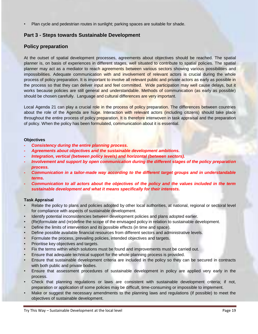• Plan cycle and pedestrian routes in sunlight; parking spaces are suitable for shade.

#### **Part 3 - Steps towards Sustainable Development**

#### **Policy preparation**

At the outset of spatial development processes, agreements about objectives should be reached. The spatial planner is, on basis of experiences in different stages, well situated to contribute to spatial policies. The spatial planner may act as a mediator to reach agreements between various sectors showing various possibilities and impossibilities. Adequate communication with and involvement of relevant actors is crucial during the whole process of policy preparation. It is important to involve all relevant public and private actors as early as possible in the process so that they can deliver input and feel committed. Wide participation may well cause delays, but it works because policies are still general and understandable. Methods of communication (as early as possible) should be chosen carefully. Language and cultural differences are very important.

Local Agenda 21 can play a crucial role in the process of policy preparation. The differences between countries about the role of the Agenda are huge. Interaction with relevant actors (including citizens) should take place throughout the entire process of policy preparation. It is therefore interwoven in task appraisal and the preparation of policy. When the policy has been formulated, communication about it is essential.

#### **Objectives**

- *- Consistency during the entire planning process.*
- *- Agreements about objectives and the sustainable development ambitions.*
- *- Integration, vertical (between policy levels) and horizontal (between sectors).*
- *- Involvement and support by open communication during the different stages of the policy preparation process.*
- *- Communication in a tailor-made way according to the different target groups and in understandable terms.*
- *- Communication to all actors about the objectives of the policy and the values included in the term sustainable development and what it means specifically for their interests.*

#### **Task Appraisal**

- Relate the policy to plans and policies adopted by other local authorities, at national, regional or sectoral level for compliance with aspects of sustainable development.
- Identify potential inconsistencies between development policies and plans adopted earlier.
- (Re)formulate and (re)define the scope of the envisaged policy in relation to sustainable development.
- Define the limits of intervention and its possible effects (in time and space).
- Define possible available financial resources from different sectors and administrative levels.
- Formulate the process, prevailing policies, intended objectives and targets.
- Prioritise key objectives and targets.
- Fix the terms within which solutions must be found and improvements must be carried out.
- Ensure that adequate technical support for the whole planning process is provided.
- Ensure that sustainable development criteria are included in the policy so they can be secured in contracts with both public and private bodies.
- Ensure that assessment procedures of sustainable development in policy are applied very early in the process.
- Check that planning regulations or laws are consistent with sustainable development criteria; if not, preparation or application of some policies may be difficult, time-consuming or impossible to implement.
- Make or suggest the necessary amendments to the planning laws and regulations (if possible) to meet the objectives of sustainable development.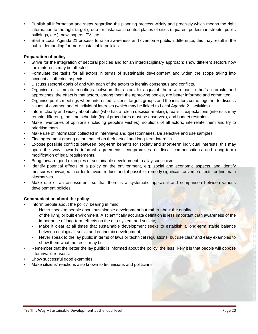- Publish all information and steps regarding the planning process widely and precisely which means the right information to the right target group for instance in central places of cities (squares, pedestrian streets, public buildings, etc.), newspapers, TV, etc.
- Start a Local Agenda 21 process to raise awareness and overcome public indifference; this may result in the public demanding for more sustainable policies.

#### **Preparation of policy**

- Strive for the integration of sectoral policies and for an interdisciplinary approach; show different sectors how their interests may be affected.
- Formulate the tasks for all actors in terms of sustainable development and widen the scope taking into account all affected aspects.
- Discuss sectoral goals of and with each of the actors to identify consensus and conflicts.
- Organise or stimulate meetings between the actors to acquaint them with each other's interests and approaches; the effect is that actors, among them the approving bodies, are better informed and committed.
- Organise public meetings where interested citizens, targets groups and the initiators come together to discuss issues of common and of individual interests (which may be linked to Local Agenda 21 activities).
- Inform clearly and widely about roles (who has a role in decision-making), realistic expectations (interests may remain different), the time schedule (legal procedures must be observed), and budget restraints.
- Make inventories of opinions (including people's wishes), solutions of all actors; interrelate them and try to prioritise them.
- Make use of information collected in interviews and questionnaires. Be selective and use samples.
- Find agreement among actors based on their actual and long-term interests.
- Expose possible conflicts between long-term benefits for society and short-term individual interests; this may open the way towards informal agreements, compromises or fiscal compensations and (long-term) modification of legal requirements.
- Bring forward good examples of sustainable development to allay scepticism.
- Identify potential effects of a policy on the environment, e.g. social and economic aspects, and identify measures envisaged in order to avoid, reduce and, if possible, remedy significant adverse effects, or find main alternatives.
- Make use of an assessment, so that there is a systematic appraisal and comparison between various development policies.

#### **Communication about the policy**

- Inform people about the policy, bearing in mind:
	- Never speak to people about sustainable development but rather about the quality of the living or built environment. A scientifically accurate definition is less important than awareness of the importance of long-term effects on the eco-system and society;
	- Make it clear at all times that sustainable development seeks to establish a long-term stable balance between ecological, social and economic development;
	- Never speak to the lay public in terms of laws or technical regulations, but use clear and easy examples to show them what the result may be.
- Remember that the better the lay public is informed about the policy, the less likely it is that people will oppose it for invalid reasons.
- Show successful good examples.
- Make citizens' reactions also known to technicians and politicians.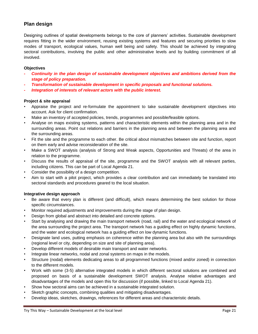#### **Plan design**

Designing outlines of spatial developments belongs to the core of planners' activities. Sustainable development requires fitting in the wider environment, reusing existing systems and features and securing priorities to slow modes of transport, ecological values, human well being and safety. This should be achieved by integrating sectoral contributions, involving the public and other administrative levels and by building commitment of all involved.

#### **Objectives**

- *- Continuity in the plan design of sustainable development objectives and ambitions derived from the stage of policy preparation.*
- *- Transformation of sustainable development in specific proposals and functional solutions.*
- *- Integration of interests of relevant actors with the public interest.*

#### **Project & site appraisal**

- Appraise the project and re-formulate the appointment to take sustainable development objectives into account. Ask for client confirmation.
- Make an inventory of accepted policies, trends, programmes and possible/feasible options.
- Analyse on maps existing systems, patterns and characteristic elements within the planning area and in the surrounding areas. Point out relations and barriers in the planning area and between the planning area and the surrounding areas.
- Fit the site and the programme to each other. Be critical about mismatches between site and function, report on them early and advise reconsideration of the site.
- Make a SWOT analysis (analysis of Strong and Weak aspects, Opportunities and Threats) of the area in relation to the programme.
- Discuss the results of appraisal of the site, programme and the SWOT analysis with all relevant parties, including citizens. This can be part of Local Agenda 21.
- Consider the possibility of a design competition.
- Aim to start with a pilot project, which provides a clear contribution and can immediately be translated into sectoral standards and procedures geared to the local situation.

#### **Integrative design approach**

- Be aware that every plan is different (and difficult), which means determining the best solution for those specific circumstances.
- Monitor required adjustments and improvements during the stage of plan design.
- Design from global and abstract into detailed and concrete options.
- Start by analysing and drawing the main transport network (road, rail) and the water and ecological network of the area surrounding the project area. The transport network has a guiding effect on highly dynamic functions, and the water and ecological network has a guiding effect on low dynamic functions.
- Designate land uses, putting emphasis on coherence within the planning area but also with the surroundings (regional level or city, depending on size and site of planning area).
- Develop different models of desirable main transport and water networks.
- Integrate linear networks, nodal and zonal systems on maps in the models.
- Structure (nodal) elements dedicating areas to all programmed functions (mixed and/or zoned) in connection to the different models.
- Work with some (3-5) alternative integrated models in which different sectoral solutions are combined and proposed on basis of a sustainable development SWOT analysis. Analyse relative advantages and disadvantages of the models and open this for discussion (if possible, linked to Local Agenda 21).
- Show how sectoral aims can be achieved in a sustainable integrated solution.
- Sketch graphic concepts, combining qualities and mitigating disadvantages.
- Develop ideas, sketches, drawings, references for different areas and characteristic details.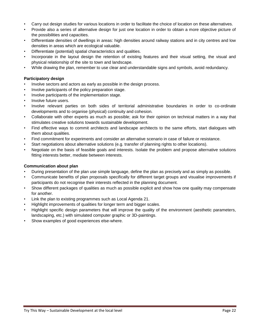- Carry out design studies for various locations in order to facilitate the choice of location on these alternatives.
- Provide also a series of alternative design for just one location in order to obtain a more objective picture of the possibilities and capacities.
- Differentiate densities of dwellings in areas: high densities around railway stations and in city centres and low densities in areas which are ecological valuable.
- Differentiate (potential) spatial characteristics and qualities.
- Incorporate in the layout design the retention of existing features and their visual setting, the visual and physical relationship of the site to town and landscape.
- While drawing the plan, remember to use clear and understandable signs and symbols, avoid redundancy.

#### **Participatory design**

- Involve sectors and actors as early as possible in the design process.
- Involve participants of the policy preparation stage.
- Involve participants of the implementation stage.
- Involve future users.
- Involve relevant parties on both sides of territorial administrative boundaries in order to co-ordinate developments and to organise (physical) continuity and cohesion.
- Collaborate with other experts as much as possible; ask for their opinion on technical matters in a way that stimulates creative solutions towards sustainable development.
- Find effective ways to commit architects and landscape architects to the same efforts, start dialogues with them about qualities.
- Find commitment for experiments and consider an alternative scenario in case of failure or resistance.
- Start negotiations about alternative solutions (e.g. transfer of planning rights to other locations).
- Negotiate on the basis of feasible goals and interests. Isolate the problem and propose alternative solutions fitting interests better, mediate between interests.

#### **Communication about plan**

- During presentation of the plan use simple language, define the plan as precisely and as simply as possible.
- Communicate benefits of plan proposals specifically for different target groups and visualise improvements if participants do not recognise their interests reflected in the planning document.
- Show different packages of qualities as much as possible explicit and show how one quality may compensate for another.
- Link the plan to existing programmes such as Local Agenda 21.
- Highlight improvements of qualities for longer term and bigger scales.
- Highlight specific design parameters that will improve the quality of the environment (aesthetic parameters, landscaping, etc.) with simulated computer graphic or 3D-paintings.
- Show examples of good experiences else-where.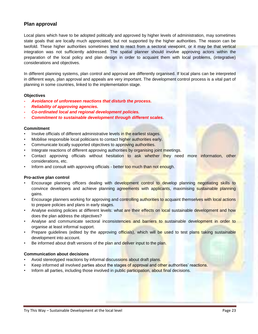#### **Plan approval**

Local plans which have to be adopted politically and approved by higher levels of administration, may sometimes state goals that are locally much appreciated, but not supported by the higher authorities. The reason can be twofold. These higher authorities sometimes tend to react from a sectoral viewpoint, or it may be that vertical integration was not sufficiently addressed. The spatial planner should involve approving actors within the preparation of the local policy and plan design in order to acquaint them with local problems, (integrative) considerations and objectives.

In different planning systems, plan control and approval are differently organised. If local plans can be interpreted in different ways, plan approval and appeals are very important. The development control process is a vital part of planning in some countries, linked to the implementation stage.

#### **Objectives**

- *- Avoidance of unforeseen reactions that disturb the process.*
- *- Reliability of approving agencies.*
- *- Co-ordinated local and regional development policies.*
- *- Commitment to sustainable development through different scales.*

#### **Commitment**

- Involve officials of different administrative levels in the earliest stages.
- Mobilise responsible local politicians to contact higher authorities early.
- Communicate locally supported objectives to approving authorities.
- Integrate reactions of different approving authorities by organising joint meetings.
- Contact approving officials without hesitation to ask whether they need more information, other considerations, etc.
- Inform and consult with approving officials better too much than not enough.

#### **Pro-active plan control**

- Encourage planning officers dealing with development control to develop planning negotiating skills to convince developers and achieve planning agreements with applicants, maximising sustainable planning gains.
- Encourage planners working for approving and controlling authorities to acquaint themselves with local actions to prepare policies and plans in early stages.
- Analyse existing policies at different levels: what are their effects on local sustainable development and how does the plan address the objectives?
- Analyse and communicate sectoral inconsistencies and barriers to sustainable development in order to organise at least informal support.
- Prepare guidelines (edited by the approving officials), which will be used to test plans taking sustainable development into account.
- Be informed about draft versions of the plan and deliver input to the plan.

#### **Communication about decisions**

- Avoid stereotyped reactions by informal discussions about draft plans.
- Keep informed all involved parties about the stages of approval and other authorities' reactions.
- Inform all parties, including those involved in public participation, about final decisions.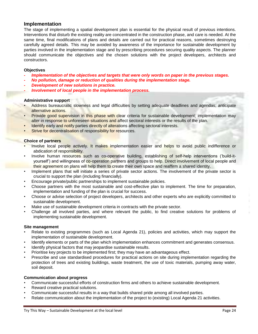#### **Implementation**

The stage of implementing a spatial development plan is essential for the physical result of previous intentions. Interventions that disturb the existing reality are concentrated in the construction phase, and care is needed. At the same time, final modifications of plans and details are carried out for practical reasons, sometimes destroying carefully agreed details. This may be avoided by awareness of the importance for sustainable development by parties involved in the implementation stage and by prescribing procedures securing quality aspects. The planner should communicate the objectives and the chosen solutions with the project developers, architects and constructors.

#### **Objectives**

- *- Implementation of the objectives and targets that were only words on paper in the previous stages.*
- *- No pollution, damage or reduction of qualities during the implementation stage.*
- *- Development of new solutions in practice.*
- *- Involvement of local people in the implementation process.*

#### **Administrative support**

- Address bureaucratic slowness and legal difficulties by setting adequate deadlines and agendas; anticipate alternative actions.
- Provide good supervision in this phase with clear criteria for sustainable development; implementation may alter in response to unforeseen situations and affect sectoral interests or the results of the plan.
- Identify early and notify parties directly of alterations affecting sectoral interests.
- Strive for decentralisation of responsibility for resources.

#### **Choice of partners**

- Involve local people actively. It makes implementation easier and helps to avoid public indifference or abdication of responsibility.
- Involve human resources such as co-operative building, establishing of self-help interventions ('build-ityourself') and willingness of co-operation partners and groups to help. Direct involvement of local people and their agreement on plans will help them to create their own space and reaffirm a shared identity.
- Implement plans that will initiate a series of private sector actions. The involvement of the private sector is crucial to support the plan (including financially).
- Encourage private/public partnerships to implement sustainable policies.
- Choose partners with the most sustainable and cost-effective plan to implement. The time for preparation, implementation and funding of the plan is crucial for success.
- Choose or advise selection of project developers, architects and other experts who are explicitly committed to sustainable development.
- Make use of sustainable development criteria in contracts with the private sector.
- Challenge all involved parties, and where relevant the public, to find creative solutions for problems of implementing sustainable development.

#### **Site management**

- Relate to existing programmes (such as Local Agenda 21), policies and activities, which may support the implementation of sustainable development.
- Identify elements or parts of the plan which implementation enhances commitment and generates consensus.
- Identify physical factors that may jeopardise sustainable results.
- Prioritise key projects to be implemented first; they may have an advantageous effect.
- Prescribe and use standardised procedures for practical actions on site during implementation regarding the protection of trees and existing buildings, waste treatment, the use of toxic materials, pumping away water, soil deposit.

#### **Communication about progress**

- Communicate successful efforts of construction firms and others to achieve sustainable development.
- Reward creative practical solutions.
- Communicate successful results in a way that builds shared pride among all involved parties.
- Relate communication about the implementation of the project to (existing) Local Agenda 21 activities.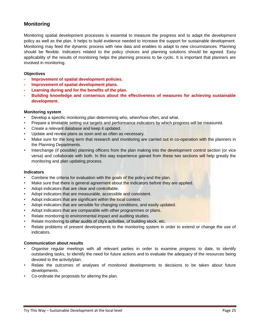#### **Monitoring**

Monitoring spatial development processes is essential to measure the progress and to adapt the development policy as well as the plan. It helps to build evidence needed to increase the support for sustainable development. Monitoring may feed the dynamic process with new data and enables to adapt to new circumstances. Planning should be flexible. Indicators related to the policy choices and planning solutions should be agreed. Easy applicability of the results of monitoring helps the planning process to be cyclic. It is important that planners are involved in monitoring.

#### **Objectives**

- **- Improvement of spatial development policies.**
- **- Improvement of spatial development plans.**
- **- Learning during and for the benefits of the plan.**
- **- Building knowledge and consensus about the effectiveness of measures for achieving sustainable development.**

#### **Monitoring system**

- Develop a specific monitoring plan determining who, when/how often, and what.
- Prepare a timetable setting out targets and performance indicators by which progress will be measured.
- Create a relevant database and keep it updated.
- Update and review plans as soon and as often as necessary.
- Make sure for the long term that research and monitoring are carried out in co-operation with the planners in the Planning Departments.
- Interchange (if possible) planning officers from the plan making into the development control section (or vice versa) and collaborate with both. In this way experience gained from these two sections will help greatly the monitoring and plan updating process.

#### **Indicators**

- Combine the criteria for evaluation with the goals of the policy and the plan.
- Make sure that there is general agreement about the indicators before they are applied.
- Adopt indicators that are clear and controllable.
- Adopt indicators that are measurable, accessible and consistent.
- Adopt indicators that are significant within the local context.
- Adopt indicators that are sensible for changing conditions, and easily updated.
- Adopt indicators that are comparable with other programmes or plans.
- Relate monitoring to environmental impact and auditing studies.
- Relate monitoring to other audits of city's activities, of building stock, etc.
- Relate problems of present developments to the monitoring system in order to extend or change the use of indicators.

#### **Communication about results**

- Organise regular meetings with all relevant parties in order to examine progress to date, to identify outstanding tasks, to identify the need for future actions and to evaluate the adequacy of the resources being devoted to the activity/plan.
- Relate the outcomes of analyses of monitored developments to decisions to be taken about future developments.
- Co-ordinate the proposals for altering the plan.